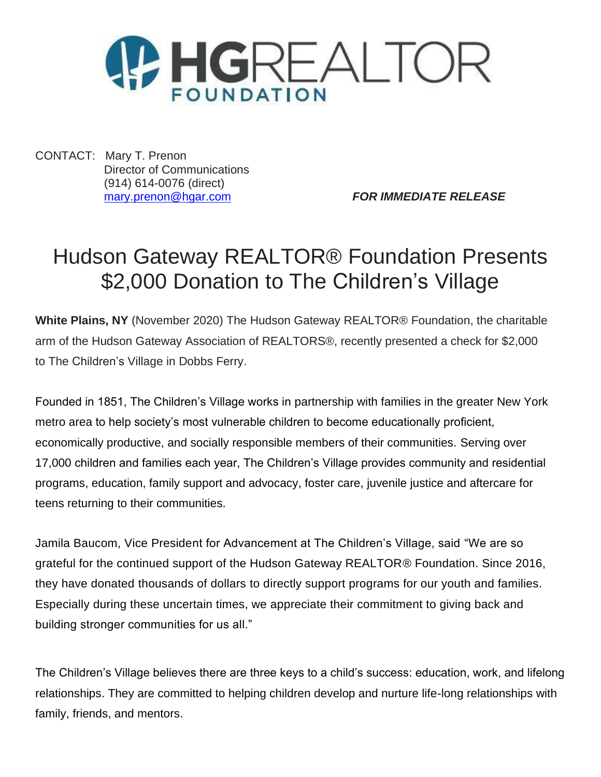

CONTACT: Mary T. Prenon Director of Communications (914) 614-0076 (direct)

[mary.prenon@hgar.com](mailto:mary.prenon@hgar.com) *FOR IMMEDIATE RELEASE*

## Hudson Gateway REALTOR® Foundation Presents \$2,000 Donation to The Children's Village

**White Plains, NY** (November 2020) The Hudson Gateway REALTOR® Foundation, the charitable arm of the Hudson Gateway Association of REALTORS®, recently presented a check for \$2,000 to The Children's Village in Dobbs Ferry.

Founded in 1851, The Children's Village works in partnership with families in the greater New York metro area to help society's most vulnerable children to become educationally proficient, economically productive, and socially responsible members of their communities. Serving over 17,000 children and families each year, The Children's Village provides community and residential programs, education, family support and advocacy, foster care, juvenile justice and aftercare for teens returning to their communities.

Jamila Baucom, Vice President for Advancement at The Children's Village, said "We are so grateful for the continued support of the Hudson Gateway REALTOR® Foundation. Since 2016, they have donated thousands of dollars to directly support programs for our youth and families. Especially during these uncertain times, we appreciate their commitment to giving back and building stronger communities for us all."

The Children's Village believes there are three keys to a child's success: education, work, and lifelong relationships. They are committed to helping children develop and nurture life-long relationships with family, friends, and mentors.